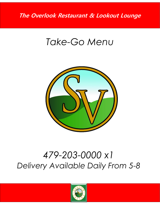## *Take-Go Menu*



## *479-203-0000 x1 Delivery Available Daily From 5-8*

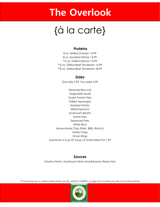# {à la carte}

#### *Proteins*

8 oz. Grilled Chicken 12.99 8 oz. Sautéed Shrimp 14.99 \*\*6 oz. Grilled Salmon 14.99 \*\*6 oz. Grilled Beef Tenderloin 16.99 \*\*8 oz. Grilled Beef Tenderloin 20.99

#### *Sides*

One side 3.99 Two sides 5.99

Steamed Broccoli Vegetable Sauté Sweet Potato Fries Grilled Asparagus Mashed Potato Wilted Spinach Mushroom Risotto Home Fries Seasoned Fries White Rice House Made Chip (Plain, BBQ, Ranch) Tortilla Chips Onion Rings Substitute A Cup OF Soup Or Small Salad For 1.99

#### *Sauces*

Creamy Pesto, Mushroom Demi And Balsamic Reduction

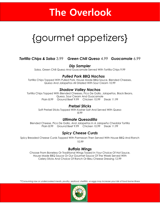# {gourmet appetizers}

### *Tortilla Chips & Salsa* 3.99 *Green Chili Queso* 4.99 *Guacamole* 6.99

*Dip Sampler*

Salsa, Green Chili Queso And Guacamole Served With Tortilla Chips 9.99

#### *Pulled Pork BBQ Nachos*

Tortilla Chips Topped With Pulled Pork, House Made BBQ Sauce, Blended Cheeses, Queso And Jalapeños All Drizzled With Sour Cream 10.99

#### *Shadow Valley Nachos*

Tortilla Chips Topped With Blended Cheeses, Pico De Gallo, Jalapeños, Black Beans, Queso, Sour Cream And Guacamole Plain 8.99 Ground Beef 9.99 Chicken 10.99 Steak 11.99

#### *Pretzel Sticks*

Soft Pretzel Sticks Topped With Kosher Salt And Served With Queso 8.99

#### *Ultimate Quesadilla*

Blended Cheese, Pico De Gallo, And Jalapeños In A Jalapeño Cheddar Tortilla Plain 8.99 Ground Beef 9.99 Chicken 10.99 Steak 11.99

#### *Spicy Cheese Curds*

Spicy Breaded Cheese Curds Topped With Parmesan Then Served With House BBQ And Ranch 10.99

#### *Buffalo Wings*

Choose From Boneless Or Traditional Wings Tossed In Your Choice Of Hot Sauce, House Made BBQ Sauce Or Our Gourmet Sauce Of The Week Served With Celery Sticks And Choice Of Ranch Or Bleu Cheese Dressing 12.99

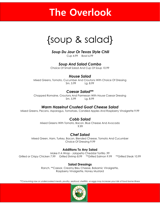## {soup & salad}

#### *Soup Du Jour Or Texas Style Chili*

Cup 4.99 Bowl 6.99

### *Soup And Salad Combo*

Choice Of Small Salad And Cup Of Soup 10.99

#### *House Salad*

Mixed Greens, Tomato, Cucumber And Croutons With Choice Of Dressing Sm. 5.99 Lg. 8.99

#### *Caesar Salad\*\**

Chopped Romaine, Croutons And Parmesan With House Caesar Dressing Sm. 5.99 Lg. 8.99

### *Warm Hazelnut Crusted Goat Cheese Salad*

Mixed Greens, Pecans, Asparagus, Tomatoes, Candied Apples And Raspberry Vinaigrette 9.99

### *Cobb Salad*

Mixed Greens With Tomato, Bacon, Blue Cheese And Avocado 9.99

#### *Chef Salad*

Mixed Green, Ham, Turkey, Bacon, Blended Cheese, Tomato And Cucumber Choice Of Dressing 9.99

#### **Additions To Any Salad**

Make It A Wrap - Jalapeño Cheddar Tortilla .99 Grilled or Crispy Chicken 7.99 Grilled Shrimp 8.99 \*\*Grilled Salmon 9.99 \*\*Grilled Steak 10.99

#### **Salad Dressings**

Ranch, \*\*Caesar, Creamy Bleu Cheese, Balsamic Vinaigrette, Raspberry Vinaigrette, Honey Mustard

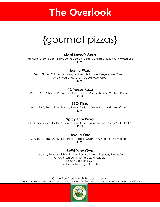## {gourmet pizzas}

#### *Meat Lover's Pizza*

Marinara, Ground Beef, Sausage, Pepperoni, Bacon, Grilled Chicken And Mozzarella 10.99

#### *Skinny Pizza*

Pesto, Grilled Chicken, Asparagus, Spinach, Roasted Vegetables, Tomato And Mixed Cheese On A Cauliflower Crust 10.99

#### *4 Cheese Pizza*

Pesto, Goat Cheese, Parmesan, Blue Cheese, Mozzarella And Crushed Pecans 10.99

#### **BBQ Pizza**

House BBQ, Pulled Pork, Bacon, Jalapeño, Red Onion, Mozzarella And Cilantro 10.99

#### **Spicy Thai Pizza**

Chili Garlic Sauce, Grilled Chicken, Red Onion, Jalapeño, Mozzarella And Cilantro 10.99

#### *Hole In One*

Sausage, Hamburger, Pepperoni, Peppers, Onions, Mushrooms And Marinara 10.99

#### *Build Your Own*

Sausage, Pepperoni, Hamburger, Bacon, Onions, Peppers, Jalapeño, Olives, Mushrooms, Tomatoes, Pineapple 12 Inch 2 Topping 9.99 (Additional Toppings .50 Each )

Gluten Free Crust Is Available Upon Request *\*\*Consuming raw or undercooked meats, poultry, seafood, shellfish, or eggs may increase your risk of food borne illness*

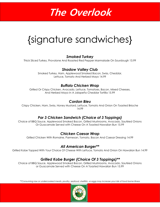# {signature sandwiches}

#### *Smoked Turkey*

Thick Sliced Turkey, Provolone And Roasted Red Pepper Marmalade On Sourdough 13.99

#### *Shadow Valley Club*

Smoked Turkey, Ham, Applewood Smoked Bacon, Swiss, Cheddar, Lettuce, Tomato And Herbed Mayo 14.99

#### *Buffalo Chicken Wrap*

Grilled Or Crispy Chicken, Avocado, Lettuce, Tomatoes, Bacon, Mixed Cheeses, And Herbed Mayo In A Jalapeño Cheddar Tortilla 15.99

#### *Cordon Bleu*

Crispy Chicken, Ham, Swiss, Honey Mustard, Lettuce, Tomato And Onion On Toasted Brioche 14.99

### *Par 3 Chicken Sandwich (Choice of 3 Toppings)*

Choice of BBQ Sauce, Applewood Smoked Bacon, Grilled Mushrooms, Avocado, Sautéed Onions Or Guacamole Served with Cheese On A Toasted Hawaiian Bun 15.99

### *Chicken Caesar Wrap*

Grilled Chicken With Romaine, Parmesan, Tomato, Bacon And Caesar Dressing 14.99

### *All American Burger\*\**

Grilled Kobe Topped With Your Choice Of Cheese With Lettuce, Tomato And Onion On Hawaiian Bun 14.99

## *Grilled Kobe Burger (Choice Of 3 Toppings)\*\**

Choice of BBQ Sauce, Applewood Smoked Bacon, Grilled Mushrooms, Avocado, Sautéed Onions or Guacamole Served with Cheese On A Toasted Hawaiian Bun 15.99

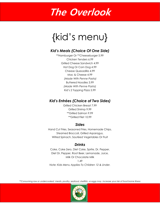# {kid's menu}

### *Kid's Meals (Choice Of One Side)*

\*\*Hamburger Or \*\*Cheeseburger 5.99 Chicken Tenders 6.99 Grilled Cheese Sandwich 4.99 Hot Dog Or Corn Dog 4.99 Cheese Quesadilla 4.99 Mac & Cheese 4.99 *(Made With Penne Pasta)* Buttered Noodles 3.99 *(Made With Penne Pasta)* Kid's 2 Topping Pizza 5.99

#### *Kid's Entrées (Choice of Two Sides)*

Grilled Chicken Breast 7.99 Grilled Shrimp 9.99 \*\*Grilled Salmon 9.99 \*\*Grilled Filet 10.99

#### *Sides*

Hand Cut Fries, Seasoned Fries, Homemade Chips, Steamed Broccoli, Grilled Asparagus, Wilted Spinach, Sautéed Vegetables Or Fruit

### *Drinks*

Coke, Coke Zero, Diet Coke, Sprite, Dr. Pepper, Diet Dr. Pepper, Root Beer, Lemonade, Juice, Milk Or Chocolate Milk 1.49 *Note: Kids Menu Applies To Children 12 & Under.*